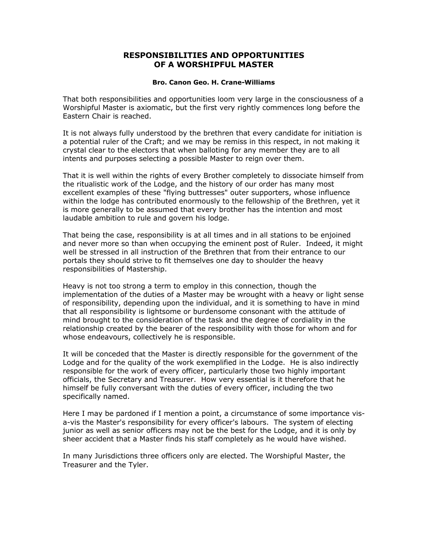## **RESPONSIBILITIES AND OPPORTUNITIES OF A WORSHIPFUL MASTER**

## **Bro. Canon Geo. H. Crane-Williams**

That both responsibilities and opportunities loom very large in the consciousness of a Worshipful Master is axiomatic, but the first very rightly commences long before the Eastern Chair is reached.

It is not always fully understood by the brethren that every candidate for initiation is a potential ruler of the Craft; and we may be remiss in this respect, in not making it crystal clear to the electors that when balloting for any member they are to all intents and purposes selecting a possible Master to reign over them.

That it is well within the rights of every Brother completely to dissociate himself from the ritualistic work of the Lodge, and the history of our order has many most excellent examples of these "flying buttresses" outer supporters, whose influence within the lodge has contributed enormously to the fellowship of the Brethren, yet it is more generally to be assumed that every brother has the intention and most laudable ambition to rule and govern his lodge.

That being the case, responsibility is at all times and in all stations to be enjoined and never more so than when occupying the eminent post of Ruler. Indeed, it might well be stressed in all instruction of the Brethren that from their entrance to our portals they should strive to fit themselves one day to shoulder the heavy responsibilities of Mastership.

Heavy is not too strong a term to employ in this connection, though the implementation of the duties of a Master may be wrought with a heavy or light sense of responsibility, depending upon the individual, and it is something to have in mind that all responsibility is lightsome or burdensome consonant with the attitude of mind brought to the consideration of the task and the degree of cordiality in the relationship created by the bearer of the responsibility with those for whom and for whose endeavours, collectively he is responsible.

It will be conceded that the Master is directly responsible for the government of the Lodge and for the quality of the work exemplified in the Lodge. He is also indirectly responsible for the work of every officer, particularly those two highly important officials, the Secretary and Treasurer. How very essential is it therefore that he himself be fully conversant with the duties of every officer, including the two specifically named.

Here I may be pardoned if I mention a point, a circumstance of some importance visa-vis the Master's responsibility for every officer's labours. The system of electing junior as well as senior officers may not be the best for the Lodge, and it is only by sheer accident that a Master finds his staff completely as he would have wished.

In many Jurisdictions three officers only are elected. The Worshipful Master, the Treasurer and the Tyler.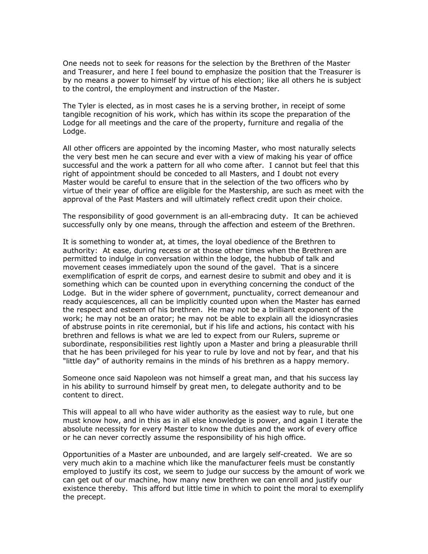One needs not to seek for reasons for the selection by the Brethren of the Master and Treasurer, and here I feel bound to emphasize the position that the Treasurer is by no means a power to himself by virtue of his election; like all others he is subject to the control, the employment and instruction of the Master.

The Tyler is elected, as in most cases he is a serving brother, in receipt of some tangible recognition of his work, which has within its scope the preparation of the Lodge for all meetings and the care of the property, furniture and regalia of the Lodge.

All other officers are appointed by the incoming Master, who most naturally selects the very best men he can secure and ever with a view of making his year of office successful and the work a pattern for all who come after. I cannot but feel that this right of appointment should be conceded to all Masters, and I doubt not every Master would be careful to ensure that in the selection of the two officers who by virtue of their year of office are eligible for the Mastership, are such as meet with the approval of the Past Masters and will ultimately reflect credit upon their choice.

The responsibility of good government is an all-embracing duty. It can be achieved successfully only by one means, through the affection and esteem of the Brethren.

It is something to wonder at, at times, the loyal obedience of the Brethren to authority: At ease, during recess or at those other times when the Brethren are permitted to indulge in conversation within the lodge, the hubbub of talk and movement ceases immediately upon the sound of the gavel. That is a sincere exemplification of esprit de corps, and earnest desire to submit and obey and it is something which can be counted upon in everything concerning the conduct of the Lodge. But in the wider sphere of government, punctuality, correct demeanour and ready acquiescences, all can be implicitly counted upon when the Master has earned the respect and esteem of his brethren. He may not be a brilliant exponent of the work; he may not be an orator; he may not be able to explain all the idiosyncrasies of abstruse points in rite ceremonial, but if his life and actions, his contact with his brethren and fellows is what we are led to expect from our Rulers, supreme or subordinate, responsibilities rest lightly upon a Master and bring a pleasurable thrill that he has been privileged for his year to rule by love and not by fear, and that his "little day" of authority remains in the minds of his brethren as a happy memory.

Someone once said Napoleon was not himself a great man, and that his success lay in his ability to surround himself by great men, to delegate authority and to be content to direct.

This will appeal to all who have wider authority as the easiest way to rule, but one must know how, and in this as in all else knowledge is power, and again I iterate the absolute necessity for every Master to know the duties and the work of every office or he can never correctly assume the responsibility of his high office.

Opportunities of a Master are unbounded, and are largely self-created. We are so very much akin to a machine which like the manufacturer feels must be constantly employed to justify its cost, we seem to judge our success by the amount of work we can get out of our machine, how many new brethren we can enroll and justify our existence thereby. This afford but little time in which to point the moral to exemplify the precept.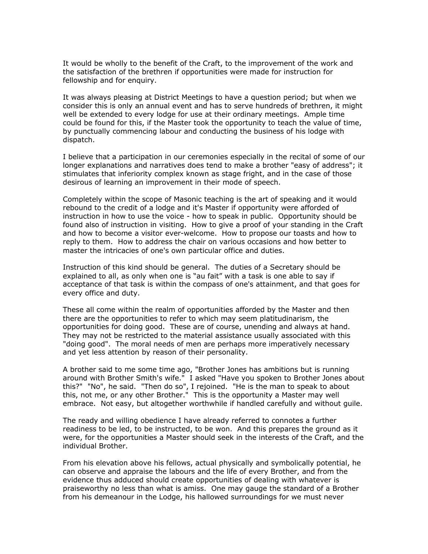It would be wholly to the benefit of the Craft, to the improvement of the work and the satisfaction of the brethren if opportunities were made for instruction for fellowship and for enquiry.

It was always pleasing at District Meetings to have a question period; but when we consider this is only an annual event and has to serve hundreds of brethren, it might well be extended to every lodge for use at their ordinary meetings. Ample time could be found for this, if the Master took the opportunity to teach the value of time, by punctually commencing labour and conducting the business of his lodge with dispatch.

I believe that a participation in our ceremonies especially in the recital of some of our longer explanations and narratives does tend to make a brother "easy of address"; it stimulates that inferiority complex known as stage fright, and in the case of those desirous of learning an improvement in their mode of speech.

Completely within the scope of Masonic teaching is the art of speaking and it would rebound to the credit of a lodge and it's Master if opportunity were afforded of instruction in how to use the voice - how to speak in public. Opportunity should be found also of instruction in visiting. How to give a proof of your standing in the Craft and how to become a visitor ever-welcome. How to propose our toasts and how to reply to them. How to address the chair on various occasions and how better to master the intricacies of one's own particular office and duties.

Instruction of this kind should be general. The duties of a Secretary should be explained to all, as only when one is "au fait" with a task is one able to say if acceptance of that task is within the compass of one's attainment, and that goes for every office and duty.

These all come within the realm of opportunities afforded by the Master and then there are the opportunities to refer to which may seem platitudinarism, the opportunities for doing good. These are of course, unending and always at hand. They may not be restricted to the material assistance usually associated with this "doing good". The moral needs of men are perhaps more imperatively necessary and yet less attention by reason of their personality.

A brother said to me some time ago, "Brother Jones has ambitions but is running around with Brother Smith's wife." I asked "Have you spoken to Brother Jones about this?" "No", he said. "Then do so", I rejoined. "He is the man to speak to about this, not me, or any other Brother." This is the opportunity a Master may well embrace. Not easy, but altogether worthwhile if handled carefully and without guile.

The ready and willing obedience I have already referred to connotes a further readiness to be led, to be instructed, to be won. And this prepares the ground as it were, for the opportunities a Master should seek in the interests of the Craft, and the individual Brother.

From his elevation above his fellows, actual physically and symbolically potential, he can observe and appraise the labours and the life of every Brother, and from the evidence thus adduced should create opportunities of dealing with whatever is praiseworthy no less than what is amiss. One may gauge the standard of a Brother from his demeanour in the Lodge, his hallowed surroundings for we must never